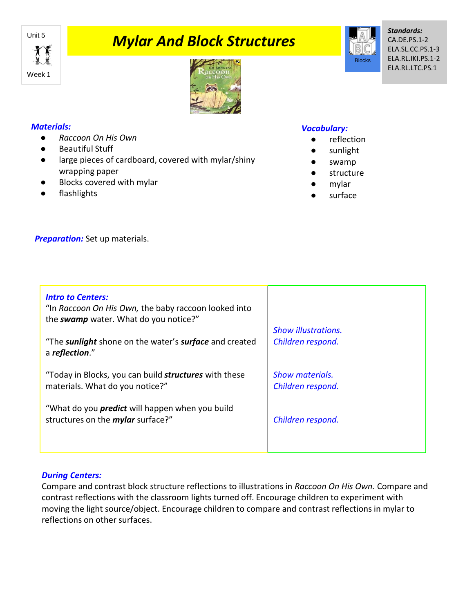

# **Mylar And Block Structures**



# *Materials:*

- *Raccoon On His Own*
- Beautiful Stuff
- large pieces of cardboard, covered with mylar/shiny wrapping paper
- Blocks covered with mylar
- flashlights

## *Vocabulary:*

- reflection
- sunlight
- swamp
- structure
- mylar
- surface

**Preparation:** Set up materials.

| <b>Intro to Centers:</b><br>"In Raccoon On His Own, the baby raccoon looked into<br>the swamp water. What do you notice?"<br>"The sunlight shone on the water's surface and created<br>a reflection." | <b>Show illustrations.</b><br>Children respond. |
|-------------------------------------------------------------------------------------------------------------------------------------------------------------------------------------------------------|-------------------------------------------------|
| "Today in Blocks, you can build <b>structures</b> with these<br>materials. What do you notice?"                                                                                                       | Show materials.<br>Children respond.            |
| "What do you <i>predict</i> will happen when you build<br>structures on the <i>mylar</i> surface?"                                                                                                    | Children respond.                               |
|                                                                                                                                                                                                       |                                                 |

### *During Centers:*

Compare and contrast block structure reflections to illustrations in *Raccoon On His Own.* Compare and contrast reflections with the classroom lights turned off. Encourage children to experiment with moving the light source/object. Encourage children to compare and contrast reflections in mylar to reflections on other surfaces.



*Standards:* CA.DE.PS.1-2 ELA.SL.CC.PS.1-3 ELA.RL.IKI.PS.1-2 ELA.RL.LTC.PS.1